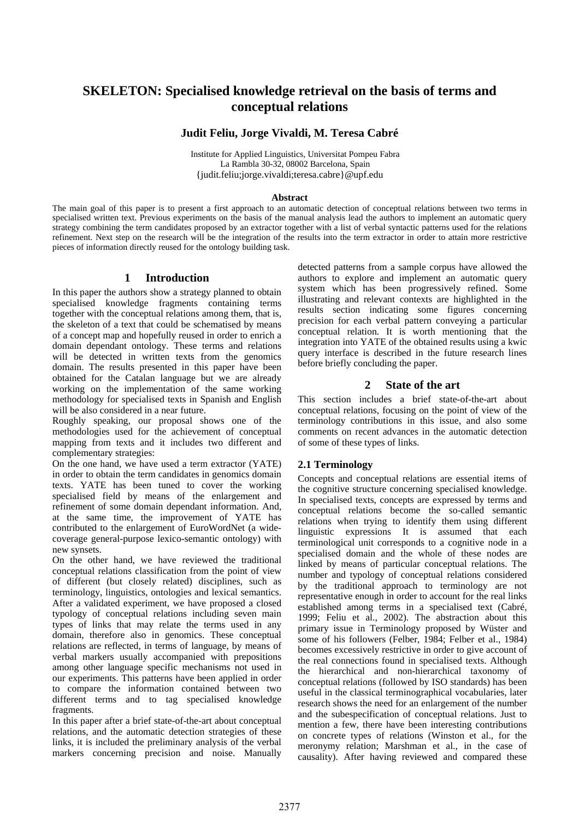# **SKELETON: Specialised knowledge retrieval on the basis of terms and conceptual relations**

# **Judit Feliu, Jorge Vivaldi, M. Teresa Cabré**

Institute for Applied Linguistics, Universitat Pompeu Fabra La Rambla 30-32, 08002 Barcelona, Spain {judit.feliu;jorge.vivaldi;teresa.cabre}@upf.edu

#### **Abstract**

The main goal of this paper is to present a first approach to an automatic detection of conceptual relations between two terms in specialised written text. Previous experiments on the basis of the manual analysis lead the authors to implement an automatic query strategy combining the term candidates proposed by an extractor together with a list of verbal syntactic patterns used for the relations refinement. Next step on the research will be the integration of the results into the term extractor in order to attain more restrictive pieces of information directly reused for the ontology building task.

## **1 Introduction**

In this paper the authors show a strategy planned to obtain specialised knowledge fragments containing terms together with the conceptual relations among them, that is, the skeleton of a text that could be schematised by means of a concept map and hopefully reused in order to enrich a domain dependant ontology. These terms and relations will be detected in written texts from the genomics domain. The results presented in this paper have been obtained for the Catalan language but we are already working on the implementation of the same working methodology for specialised texts in Spanish and English will be also considered in a near future.

Roughly speaking, our proposal shows one of the methodologies used for the achievement of conceptual mapping from texts and it includes two different and complementary strategies:

On the one hand, we have used a term extractor (YATE) in order to obtain the term candidates in genomics domain texts. YATE has been tuned to cover the working specialised field by means of the enlargement and refinement of some domain dependant information. And, at the same time, the improvement of YATE has contributed to the enlargement of EuroWordNet (a widecoverage general-purpose lexico-semantic ontology) with new synsets.

On the other hand, we have reviewed the traditional conceptual relations classification from the point of view of different (but closely related) disciplines, such as terminology, linguistics, ontologies and lexical semantics. After a validated experiment, we have proposed a closed typology of conceptual relations including seven main types of links that may relate the terms used in any domain, therefore also in genomics. These conceptual relations are reflected, in terms of language, by means of verbal markers usually accompanied with prepositions among other language specific mechanisms not used in our experiments. This patterns have been applied in order to compare the information contained between two different terms and to tag specialised knowledge fragments.

In this paper after a brief state-of-the-art about conceptual relations, and the automatic detection strategies of these links, it is included the preliminary analysis of the verbal markers concerning precision and noise. Manually detected patterns from a sample corpus have allowed the authors to explore and implement an automatic query system which has been progressively refined. Some illustrating and relevant contexts are highlighted in the results section indicating some figures concerning precision for each verbal pattern conveying a particular conceptual relation. It is worth mentioning that the integration into YATE of the obtained results using a kwic query interface is described in the future research lines before briefly concluding the paper.

## **2 State of the art**

This section includes a brief state-of-the-art about conceptual relations, focusing on the point of view of the terminology contributions in this issue, and also some comments on recent advances in the automatic detection of some of these types of links.

## **2.1 Terminology**

Concepts and conceptual relations are essential items of the cognitive structure concerning specialised knowledge. In specialised texts, concepts are expressed by terms and conceptual relations become the so-called semantic relations when trying to identify them using different linguistic expressions It is assumed that each terminological unit corresponds to a cognitive node in a specialised domain and the whole of these nodes are linked by means of particular conceptual relations. The number and typology of conceptual relations considered by the traditional approach to terminology are not representative enough in order to account for the real links established among terms in a specialised text (Cabré, 1999; Feliu et al., 2002). The abstraction about this primary issue in Terminology proposed by Wüster and some of his followers (Felber, 1984; Felber et al., 1984) becomes excessively restrictive in order to give account of the real connections found in specialised texts. Although the hierarchical and non-hierarchical taxonomy of conceptual relations (followed by ISO standards) has been useful in the classical terminographical vocabularies, later research shows the need for an enlargement of the number and the subespecification of conceptual relations. Just to mention a few, there have been interesting contributions on concrete types of relations (Winston et al., for the meronymy relation; Marshman et al., in the case of causality). After having reviewed and compared these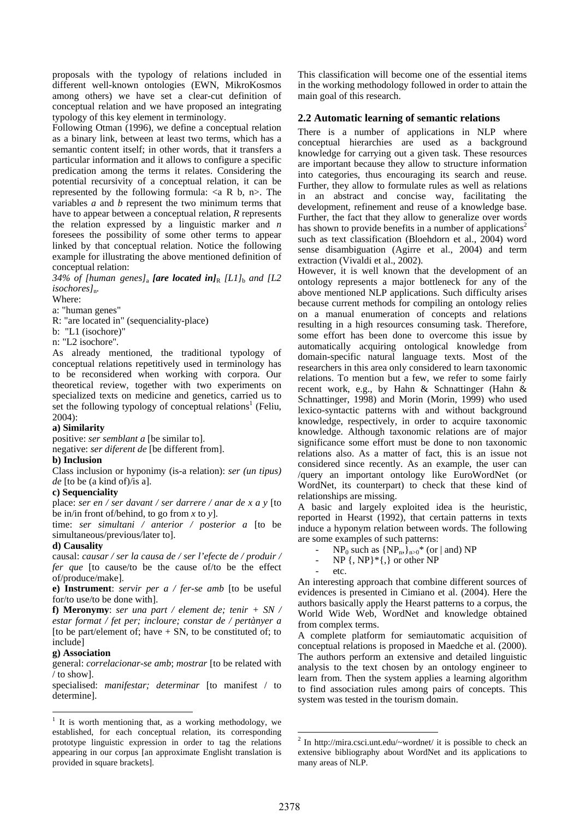proposals with the typology of relations included in different well-known ontologies (EWN, MikroKosmos among others) we have set a clear-cut definition of conceptual relation and we have proposed an integrating typology of this key element in terminology.

Following Otman (1996), we define a conceptual relation as a binary link, between at least two terms, which has a semantic content itself; in other words, that it transfers a particular information and it allows to configure a specific predication among the terms it relates. Considering the potential recursivity of a conceptual relation, it can be represented by the following formula:  $\langle a \, R \, b, n \rangle$ . The variables *a* and *b* represent the two minimum terms that have to appear between a conceptual relation, *R* represents the relation expressed by a linguistic marker and *n* foresees the possibility of some other terms to appear linked by that conceptual relation. Notice the following example for illustrating the above mentioned definition of conceptual relation:

*34% of [human genes]*<sub>a</sub> *[are located in]*<sub>R</sub> *[L1]*<sub>b</sub> *and [L2 isochores]*n*.* 

Where:

a: "human genes"

R: "are located in" (sequenciality-place)

b: "L1 (isochore)"

n: "L2 isochore"*.*

As already mentioned, the traditional typology of conceptual relations repetitively used in terminology has to be reconsidered when working with corpora. Our theoretical review, together with two experiments on specialized texts on medicine and genetics, carried us to set the following typology of conceptual relations<sup>1</sup> (Feliu, 2004):

#### **a) Similarity**

positive: *ser semblant a* [be similar to]. negative: *ser diferent de* [be different from].

#### **b) Inclusion**

Class inclusion or hyponimy (is-a relation): *ser (un tipus) de* [to be (a kind of)/is a].

#### **c) Sequenciality**

place: *ser en / ser davant / ser darrere / anar de x a y* [to be in/in front of/behind, to go from *x* to *y*].

time: *ser simultani / anterior / posterior a* [to be simultaneous/previous/later to].

#### **d) Causality**

causal: *causar / ser la causa de / ser l'efecte de / produir / fer que* [to cause/to be the cause of/to be the effect of/produce/make].

**e) Instrument**: *servir per a / fer-se amb* [to be useful for/to use/to be done with].

**f) Meronymy**: *ser una part / element de; tenir + SN / estar format / fet per; incloure; constar de / pertànyer a* [to be part/element of; have  $+ SN$ , to be constituted of; to include]

#### **g) Association**

 $\overline{a}$ 

general: *correlacionar-se amb*; *mostrar* [to be related with / to show].

specialised: *manifestar; determinar* [to manifest / to determine].

This classification will become one of the essential items in the working methodology followed in order to attain the main goal of this research.

## **2.2 Automatic learning of semantic relations**

There is a number of applications in NLP where conceptual hierarchies are used as a background knowledge for carrying out a given task. These resources are important because they allow to structure information into categories, thus encouraging its search and reuse. Further, they allow to formulate rules as well as relations in an abstract and concise way, facilitating the development, refinement and reuse of a knowledge base. Further, the fact that they allow to generalize over words has shown to provide benefits in a number of applications<sup>2</sup> such as text classification (Bloehdorn et al., 2004) word sense disambiguation (Agirre et al., 2004) and term extraction (Vivaldi et al., 2002).

However, it is well known that the development of an ontology represents a major bottleneck for any of the above mentioned NLP applications. Such difficulty arises because current methods for compiling an ontology relies on a manual enumeration of concepts and relations resulting in a high resources consuming task. Therefore, some effort has been done to overcome this issue by automatically acquiring ontological knowledge from domain-specific natural language texts. Most of the researchers in this area only considered to learn taxonomic relations. To mention but a few, we refer to some fairly recent work, e.g., by Hahn & Schnattinger (Hahn & Schnattinger, 1998) and Morin (Morin, 1999) who used lexico-syntactic patterns with and without background knowledge, respectively, in order to acquire taxonomic knowledge. Although taxonomic relations are of major significance some effort must be done to non taxonomic relations also. As a matter of fact, this is an issue not considered since recently. As an example, the user can /query an important ontology like EuroWordNet (or WordNet, its counterpart) to check that these kind of relationships are missing.

A basic and largely exploited idea is the heuristic, reported in Hearst (1992), that certain patterns in texts induce a hyponym relation between words. The following are some examples of such patterns:

 $NP_0$  such as  $\{NP_n\}_{n>0}^*$  (or | and) NP

 $NP \{, NP\}^* \{, \}$  or other NP

etc.

An interesting approach that combine different sources of evidences is presented in Cimiano et al. (2004). Here the authors basically apply the Hearst patterns to a corpus, the World Wide Web, WordNet and knowledge obtained from complex terms.

A complete platform for semiautomatic acquisition of conceptual relations is proposed in Maedche et al. (2000). The authors perform an extensive and detailed linguistic analysis to the text chosen by an ontology engineer to learn from. Then the system applies a learning algorithm to find association rules among pairs of concepts. This system was tested in the tourism domain.

l

<span id="page-1-0"></span> $1$  It is worth mentioning that, as a working methodology, we established, for each conceptual relation, its corresponding prototype linguistic expression in order to tag the relations appearing in our corpus [an approximate Englisht translation is provided in square brackets].

<span id="page-1-1"></span><sup>2</sup> In http://mira.csci.unt.edu/~wordnet/ it is possible to check an extensive bibliography about WordNet and its applications to many areas of NLP.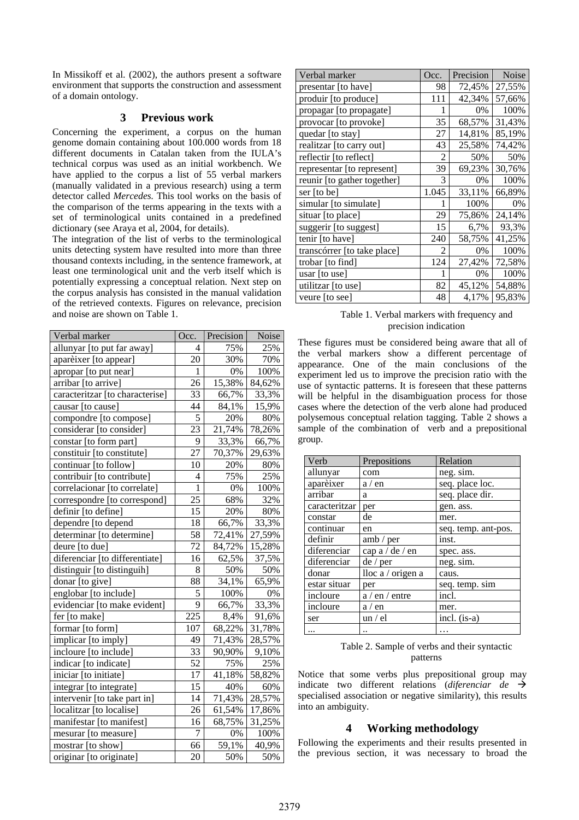In Missikoff et al. (2002), the authors present a software environment that supports the construction and assessment of a domain ontology.

### <span id="page-2-2"></span>**3 Previous work**

Concerning the experiment, a corpus on the human genome domain containing about 100.000 words from 18 different documents in Catalan taken from the IULA's technical corpus was used as an initial workbench. We have applied to the corpus a list of 55 verbal markers (manually validated in a previous research) using a term detector called *Mercedes.* This tool works on the basis of the comparison of the terms appearing in the texts with a set of terminological units contained in a predefined dictionary (see Araya et al, 2004, for details).

The integration of the list of verbs to the terminological units detecting system have resulted into more than three thousand contexts including, in the sentence framework, at least one terminological unit and the verb itself which is potentially expressing a conceptual relation. Next step on the corpus analysis has consisted in the manual validation of the retrieved contexts. Figures on relevance, precision and noise are shown on [Table 1.](#page-2-0)

| Verbal marker                   | Occ.           | Precision | Noise  |
|---------------------------------|----------------|-----------|--------|
| allunyar [to put far away]      | 4              | 75%       | 25%    |
| aparèixer [to appear]           | 20             | 30%       | 70%    |
| apropar [to put near]           | $\mathbf{1}$   | 0%        | 100%   |
| arribar [to arrive]             | 26             | 15,38%    | 84,62% |
| caracteritzar [to characterise] | 33             | 66,7%     | 33,3%  |
| causar [to cause]               | 44             | 84,1%     | 15,9%  |
| compondre [to compose]          | 5              | 20%       | 80%    |
| considerar [to consider]        | 23             | 21,74%    | 78,26% |
| constar [to form part]          | 9              | 33,3%     | 66,7%  |
| constituir [to constitute]      | 27             | 70,37%    | 29,63% |
| continuar [to follow]           | 10             | 20%       | 80%    |
| contribuir [to contribute]      | $\overline{4}$ | 75%       | 25%    |
| correlacionar [to correlate]    | 1              | 0%        | 100%   |
| correspondre [to correspond]    | 25             | 68%       | 32%    |
| definir [to define]             | 15             | 20%       | 80%    |
| dependre [to depend             | 18             | 66,7%     | 33,3%  |
| determinar [to determine]       | 58             | 72,41%    | 27,59% |
| deure [to due]                  | 72             | 84,72%    | 15,28% |
| diferenciar [to differentiate]  | 16             | 62,5%     | 37,5%  |
| distinguir [to distinguih]      | 8              | 50%       | 50%    |
| donar [to give]                 | 88             | 34,1%     | 65,9%  |
| englobar [to include]           | 5              | 100%      | $0\%$  |
| evidenciar [to make evident]    | 9              | 66,7%     | 33,3%  |
| fer [to make]                   | 225            | 8,4%      | 91,6%  |
| formar [to form]                | 107            | 68,22%    | 31,78% |
| implicar [to imply]             | 49             | 71,43%    | 28,57% |
| incloure [to include]           | 33             | 90,90%    | 9,10%  |
| indicar [to indicate]           | 52             | 75%       | 25%    |
| iniciar [to initiate]           | 17             | 41,18%    | 58,82% |
| integrar [to integrate]         | 15             | 40%       | 60%    |
| intervenir [to take part in]    | 14             | 71,43%    | 28,57% |
| localitzar [to localise]        | 26             | 61,54%    | 17,86% |
| manifestar [to manifest]        | 16             | 68,75%    | 31,25% |
| mesurar [to measure]            | 7              | 0%        | 100%   |
| mostrar [to show]               | 66             | 59,1%     | 40,9%  |
| originar [to originate]         | 20             | 50%       | 50%    |

| Verbal marker               | Occ.  | Precision | <b>Noise</b> |
|-----------------------------|-------|-----------|--------------|
| presentar [to have]         | 98    | 72,45%    | 27,55%       |
| produir [to produce]        | 111   | 42,34%    | 57,66%       |
| propagar [to propagate]     |       | 0%        | 100%         |
| provocar [to provoke]       | 35    | 68,57%    | 31,43%       |
| quedar [to stay]            | 27    | 14,81%    | 85,19%       |
| realitzar [to carry out]    | 43    | 25,58%    | 74,42%       |
| reflectir [to reflect]      | 2     | 50%       | 50%          |
| representar [to represent]  | 39    | 69,23%    | 30,76%       |
| reunir [to gather together] | 3     | 0%        | 100%         |
| ser [to be]                 | 1.045 | 33,11%    | 66,89%       |
| simular [to simulate]       |       | 100%      | 0%           |
| situar [to place]           | 29    | 75,86%    | 24,14%       |
| suggerir [to suggest]       | 15    | 6,7%      | 93,3%        |
| tenir [to have]             | 240   | 58,75%    | 41,25%       |
| transcórrer [to take place] | 2     | 0%        | 100%         |
| trobar [to find]            | 124   | 27,42%    | 72,58%       |
| usar $[$ to use $]$         |       | 0%        | 100%         |
| utilitzar [to use]          | 82    | 45,12%    | 54,88%       |
| veure [to see]              | 48    | 4,17%     | 95,83%       |

<span id="page-2-0"></span>Table 1. Verbal markers with frequency and precision indication

These figures must be considered being aware that all of the verbal markers show a different percentage of appearance. One of the main conclusions of the experiment led us to improve the precision ratio with the use of syntactic patterns. It is foreseen that these patterns will be helpful in the disambiguation process for those cases where the detection of the verb alone had produced polysemous conceptual relation tagging. [Table 2](#page-2-1) shows a sample of the combination of verb and a prepositional group.

| Verb          | Prepositions      | Relation            |
|---------------|-------------------|---------------------|
| allunyar      | com               | neg. sim.           |
| aparèixer     | a / en            | seq. place loc.     |
| arribar       | a                 | seq. place dir.     |
| caracteritzar | per               | gen. ass.           |
| constar       | de                | mer.                |
| continuar     | en                | seq. temp. ant-pos. |
| definir       | amb / per         | inst.               |
| diferenciar   | cap a / de / en   | spec. ass.          |
| diferenciar   | de/per            | neg. sim.           |
| donar         | lloc a / origen a | caus.               |
| estar situar  | per               | seq. temp. sim      |
| incloure      | $a / en /$ entre  | incl.               |
| incloure      | a / en            | mer.                |
| ser           | un / el           | incl. (is-a)        |
| $\cdots$      |                   | .                   |

<span id="page-2-1"></span>

| Table 2. Sample of verbs and their syntactic |  |
|----------------------------------------------|--|
| patterns                                     |  |

Notice that some verbs plus prepositional group may indicate two different relations (*diferenciar de*  $\rightarrow$ specialised association or negative similarity), this results into an ambiguity.

# **4 Working methodology**

Following the experiments and their results presented in the previous section, it was necessary to broad the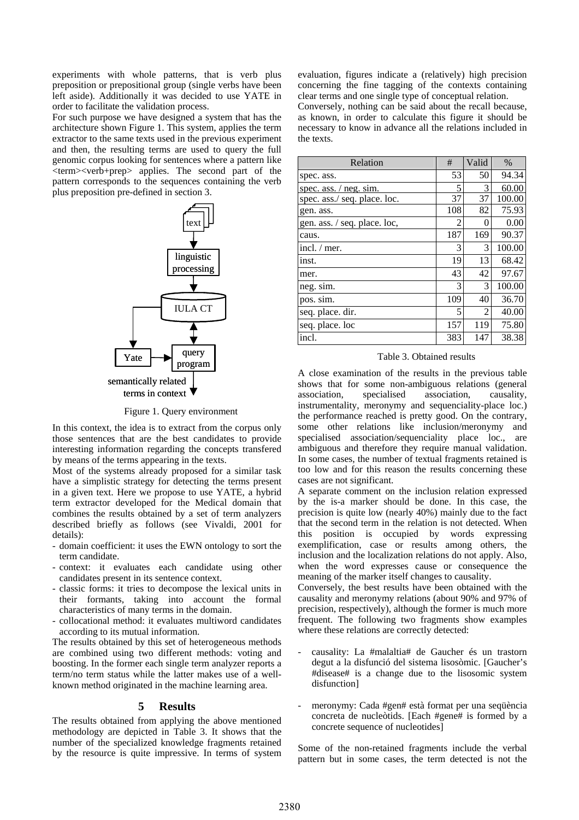experiments with whole patterns, that is verb plus preposition or prepositional group (single verbs have been left aside). Additionally it was decided to use YATE in order to facilitate the validation process.

For such purpose we have designed a system that has the architecture shown [Figure 1.](#page-3-0) This system, applies the term extractor to the same texts used in the previous experiment and then, the resulting terms are used to query the full genomic corpus looking for sentences where a pattern like <term><verb+prep> applies. The second part of the pattern corresponds to the sequences containing the verb plus preposition pre-defined in section [3.](#page-2-2)



<span id="page-3-0"></span>Figure 1. Query environment

In this context, the idea is to extract from the corpus only those sentences that are the best candidates to provide interesting information regarding the concepts transfered by means of the terms appearing in the texts.

Most of the systems already proposed for a similar task have a simplistic strategy for detecting the terms present in a given text. Here we propose to use YATE, a hybrid term extractor developed for the Medical domain that combines the results obtained by a set of term analyzers described briefly as follows (see Vivaldi, 2001 for details):

- domain coefficient: it uses the EWN ontology to sort the term candidate.
- context: it evaluates each candidate using other candidates present in its sentence context.
- classic forms: it tries to decompose the lexical units in their formants, taking into account the formal characteristics of many terms in the domain.
- collocational method: it evaluates multiword candidates according to its mutual information.

The results obtained by this set of heterogeneous methods are combined using two different methods: voting and boosting. In the former each single term analyzer reports a term/no term status while the latter makes use of a wellknown method originated in the machine learning area.

### **5 Results**

The results obtained from applying the above mentioned methodology are depicted in [Table 3.](#page-3-1) It shows that the number of the specialized knowledge fragments retained by the resource is quite impressive. In terms of system evaluation, figures indicate a (relatively) high precision concerning the fine tagging of the contexts containing clear terms and one single type of conceptual relation.

Conversely, nothing can be said about the recall because, as known, in order to calculate this figure it should be necessary to know in advance all the relations included in the texts.

| Relation                     | #                        | Valid | $\%$   |
|------------------------------|--------------------------|-------|--------|
| spec. ass.                   | 53                       | 50    | 94.34  |
| spec. ass. $/$ neg. sim.     | 5                        | 3     | 60.00  |
| spec. ass./ seq. place. loc. | 37                       | 37    | 100.00 |
| gen. ass.                    | 108                      | 82    | 75.93  |
| gen. ass. / seq. place. loc, | $\overline{\mathcal{L}}$ | 0     | 0.00   |
| caus.                        | 187                      | 169   | 90.37  |
| incl. / mer.                 | 3                        | 3     | 100.00 |
| inst.                        | 19                       | 13    | 68.42  |
| mer.                         | 43                       | 42    | 97.67  |
| neg. sim.                    | 3                        | 3     | 100.00 |
| pos. sim.                    | 109                      | 40    | 36.70  |
| seq. place. dir.             | 5                        | 2     | 40.00  |
| seq. place. loc              | 157                      | 119   | 75.80  |
| incl.                        | 383                      | 147   | 38.38  |

<span id="page-3-1"></span>Table 3. Obtained results

A close examination of the results in the previous table shows that for some non-ambiguous relations (general association, specialised association, causality, instrumentality, meronymy and sequenciality-place loc.) the performance reached is pretty good. On the contrary, some other relations like inclusion/meronymy and specialised association/sequenciality place loc., are ambiguous and therefore they require manual validation. In some cases, the number of textual fragments retained is too low and for this reason the results concerning these cases are not significant.

A separate comment on the inclusion relation expressed by the is-a marker should be done. In this case, the precision is quite low (nearly 40%) mainly due to the fact that the second term in the relation is not detected. When this position is occupied by words expressing exemplification, case or results among others, the inclusion and the localization relations do not apply. Also, when the word expresses cause or consequence the meaning of the marker itself changes to causality.

Conversely, the best results have been obtained with the causality and meronymy relations (about 90% and 97% of precision, respectively), although the former is much more frequent. The following two fragments show examples where these relations are correctly detected:

- causality: La #malaltia# de Gaucher és un trastorn degut a la disfunció del sistema lisosòmic. [Gaucher's #disease# is a change due to the lisosomic system disfunction]
- meronymy: Cada #gen# està format per una sequència concreta de nucleòtids. [Each #gene# is formed by a concrete sequence of nucleotides]

Some of the non-retained fragments include the verbal pattern but in some cases, the term detected is not the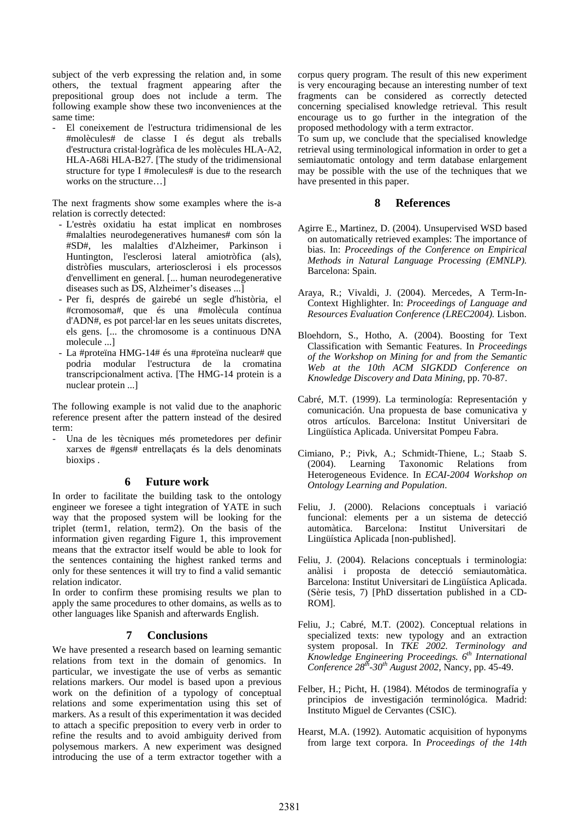subject of the verb expressing the relation and, in some others, the textual fragment appearing after the prepositional group does not include a term. The following example show these two inconveniences at the same time:

- El coneixement de l'estructura tridimensional de les #molècules# de classe I és degut als treballs d'estructura cristal·logràfica de les molècules HLA-A2, HLA-A68i HLA-B27. [The study of the tridimensional structure for type I #molecules# is due to the research works on the structure…]

The next fragments show some examples where the is-a relation is correctly detected:

- L'estrès oxidatiu ha estat implicat en nombroses #malalties neurodegeneratives humanes# com són la #SD#, les malalties d'Alzheimer, Parkinson i Huntington, l'esclerosi lateral amiotròfica (als), distròfies musculars, arteriosclerosi i els processos d'envelliment en general. [... human neurodegenerative diseases such as DS, Alzheimer's diseases ...]
- Per fi, després de gairebé un segle d'història, el #cromosoma#, que és una #molècula contínua d'ADN#, es pot parcel·lar en les seues unitats discretes, els gens. [... the chromosome is a continuous DNA molecule ...]
- La #proteïna HMG-14# és una #proteïna nuclear# que podria modular l'estructura de la cromatina transcripcionalment activa. [The HMG-14 protein is a nuclear protein ...]

The following example is not valid due to the anaphoric reference present after the pattern instead of the desired term:

Una de les tècniques més prometedores per definir xarxes de #gens# entrellaçats és la dels denominats bioxips .

#### **6 Future work**

In order to facilitate the building task to the ontology engineer we foresee a tight integration of YATE in such way that the proposed system will be looking for the triplet (term1, relation, term2). On the basis of the information given regarding [Figure 1,](#page-3-0) this improvement means that the extractor itself would be able to look for the sentences containing the highest ranked terms and only for these sentences it will try to find a valid semantic relation indicator.

In order to confirm these promising results we plan to apply the same procedures to other domains, as wells as to other languages like Spanish and afterwards English.

### **7 Conclusions**

We have presented a research based on learning semantic relations from text in the domain of genomics. In particular, we investigate the use of verbs as semantic relations markers. Our model is based upon a previous work on the definition of a typology of conceptual relations and some experimentation using this set of markers. As a result of this experimentation it was decided to attach a specific preposition to every verb in order to refine the results and to avoid ambiguity derived from polysemous markers. A new experiment was designed introducing the use of a term extractor together with a

corpus query program. The result of this new experiment is very encouraging because an interesting number of text fragments can be considered as correctly detected concerning specialised knowledge retrieval. This result encourage us to go further in the integration of the proposed methodology with a term extractor.

To sum up, we conclude that the specialised knowledge retrieval using terminological information in order to get a semiautomatic ontology and term database enlargement may be possible with the use of the techniques that we have presented in this paper.

#### **8 References**

- Agirre E., Martinez, D. (2004). Unsupervised WSD based on automatically retrieved examples: The importance of bias. In: *Proceedings of the Conference on Empirical Methods in Natural Language Processing (EMNLP).*  Barcelona: Spain.
- Araya, R.; Vivaldi, J. (2004). Mercedes, A Term-In-Context Highlighter. In: *Proceedings of Language and Resources Evaluation Conference (LREC2004).* Lisbon.
- Bloehdorn, S., Hotho, A. (2004). Boosting for Text Classification with Semantic Features. In *Proceedings of the Workshop on Mining for and from the Semantic Web at the 10th ACM SIGKDD Conference on Knowledge Discovery and Data Mining*, pp. 70-87.
- Cabré, M.T. (1999). La terminología: Representación y comunicación. Una propuesta de base comunicativa y otros artículos. Barcelona: Institut Universitari de Lingüística Aplicada. Universitat Pompeu Fabra.
- Cimiano, P.; Pivk, A.; Schmidt-Thiene, L.; Staab S. (2004). Learning Taxonomic Relations from Heterogeneous Evidence. In *ECAI-2004 Workshop on Ontology Learning and Population*.
- Feliu, J. (2000). Relacions conceptuals i variació funcional: elements per a un sistema de detecció automàtica. Barcelona: Institut Universitari de Lingüística Aplicada [non-published].
- Feliu, J. (2004). Relacions conceptuals i terminologia: anàlisi i proposta de detecció semiautomàtica. Barcelona: Institut Universitari de Lingüística Aplicada. (Sèrie tesis, 7) [PhD dissertation published in a CD-ROM].
- Feliu, J.; Cabré, M.T. (2002). Conceptual relations in specialized texts: new typology and an extraction system proposal. In *TKE 2002. Terminology and Knowledge Engineering Proceedings. 6th International Conference 28th-30th August 2002*, Nancy, pp. 45-49.
- Felber, H.; Picht, H. (1984). Métodos de terminografía y principios de investigación terminológica. Madrid: Instituto Miguel de Cervantes (CSIC).
- Hearst, M.A. (1992). Automatic acquisition of hyponyms from large text corpora. In *Proceedings of the 14th*